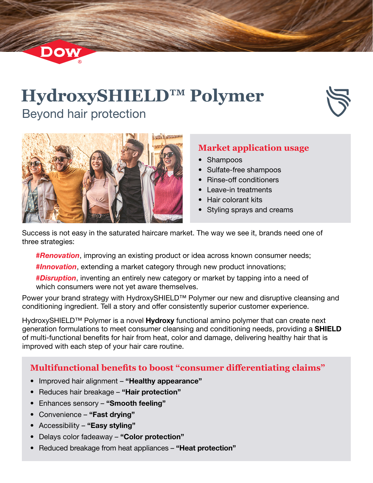# **HydroxySHIELD™ Polymer** Beyond hair protection





Dow

### **Market application usage**

- Shampoos
- Sulfate-free shampoos
- Rinse-off conditioners
- Leave-in treatments
- Hair colorant kits
- Styling sprays and creams

Success is not easy in the saturated haircare market. The way we see it, brands need one of three strategies:

*#Renovation*, improving an existing product or idea across known consumer needs;

*#Innovation*, extending a market category through new product innovations;

*#Disruption*, inventing an entirely new category or market by tapping into a need of which consumers were not yet aware themselves.

Power your brand strategy with HydroxySHIELD™ Polymer our new and disruptive cleansing and conditioning ingredient. Tell a story and offer consistently superior customer experience.

HydroxySHIELD<sup>™</sup> Polymer is a novel **Hydroxy** functional amino polymer that can create next generation formulations to meet consumer cleansing and conditioning needs, providing a SHIELD of multi-functional benefits for hair from heat, color and damage, delivering healthy hair that is improved with each step of your hair care routine.

# **Multifunctional benefits to boost "consumer differentiating claims"**

- Improved hair alignment "Healthy appearance"
- Reduces hair breakage "Hair protection"
- Enhances sensory "Smooth feeling"
- Convenience "Fast drying"
- Accessibility "Easy styling"
- Delays color fadeaway "Color protection"
- Reduced breakage from heat appliances "Heat protection"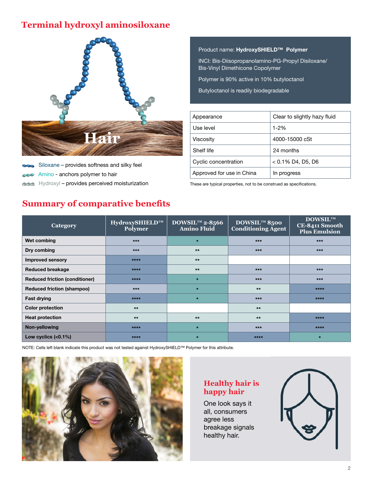# **Terminal hydroxyl aminosiloxane**



Siloxane – provides softness and silky feel Amino - anchors polymer to hair  $\sim$ 

Hydroxyl – provides perceived moisturization These are typical properties, not to be construed as specifications. **OOO** 

Product name: HydroxySHIELD™ Polymer

INCI: Bis-Diisopropanolamino-PG-Propyl Disiloxane/ Bis-Vinyl Dimethicone Copolymer

Polymer is 90% active in 10% butyloctanol

Butyloctanol is readily biodegradable

| Appearance                | Clear to slightly hazy fluid |
|---------------------------|------------------------------|
| Use level                 | $1 - 2%$                     |
| Viscosity                 | 4000-15000 cSt               |
| Shelf life                | 24 months                    |
| Cyclic concentration      | $< 0.1\%$ D4, D5, D6         |
| Approved for use in China | In progress                  |

# **Summary of comparative benefits**

| <b>Category</b>                       | HydroxySHIELD™<br>Polymer | DOWSIL <sup>TM</sup> 2-8566<br><b>Amino Fluid</b> | $DOWSIL^{TM} 8500$<br><b>Conditioning Agent</b> | $\textbf{DOWSIL}^{\text{\tiny{TM}}}$<br>CE-8411 Smooth<br><b>Plus Emulsion</b> |
|---------------------------------------|---------------------------|---------------------------------------------------|-------------------------------------------------|--------------------------------------------------------------------------------|
| Wet combing                           | $***$                     | $\star$                                           | $***$                                           | $***$                                                                          |
| Dry combing                           | $***$                     | $**$                                              | $***$                                           | $***$                                                                          |
| <b>Improved sensory</b>               | ****                      | $***$                                             |                                                 |                                                                                |
| <b>Reduced breakage</b>               | ****                      | $**$                                              | $***$                                           | $***$                                                                          |
| <b>Reduced friction (conditioner)</b> | ****                      | $\star$                                           | $***$                                           | $***$                                                                          |
| <b>Reduced friction (shampoo)</b>     | $***$                     | $\star$                                           | $***$                                           | $****$                                                                         |
| <b>Fast drying</b>                    | $***$                     | $\star$                                           | $***$                                           | $****$                                                                         |
| <b>Color protection</b>               | $***$                     |                                                   | $***$                                           |                                                                                |
| <b>Heat protection</b>                | $***$                     | $***$                                             | $***$                                           | ****                                                                           |
| Non-yellowing                         | ****                      | $\star$                                           | $***$                                           | ****                                                                           |
| Low cyclics $(0.1\%)$                 | ****                      | $\star$                                           | ****                                            | $\star$                                                                        |

NOTE: Cells left blank indicate this product was not tested against HydroxySHIELD™ Polymer for this attribute.



### **Healthy hair is happy hair**

One look says it all, consumers agree less breakage signals healthy hair.

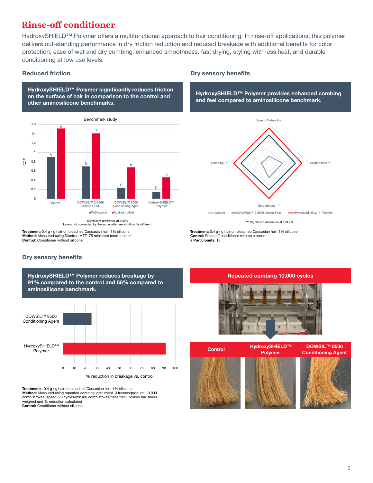# **Rinse-off conditioner**

HydroxySHIELD™ Polymer offers a multifunctional approach to hair conditioning. In rinse-off applications, this polymer delivers out-standing performance in dry friction reduction and reduced breakage with additional benefits for color protection, ease of wet and dry combing, enhanced smoothness, fast drying, styling with less heat, and durable conditioning at low use levels.

HydroxySHIELD™ Polymer significantly reduces friction on the surface of hair in comparison to the control and other aminosilicone benchmarks.



Levels not connected by the same letter are significantly different.

Treatment: 0.4 g / g hair on bleached Caucasian hair, 1% silicone **Method:** Measured using Diastron MTT175 miniature tensile tester<br>Control: Conditioner without silicone

### Dry sensory benefits



HydroxySHIELD™ Polymer reduces breakage by 91% compared to the control and 66% compared to

Treatment: : 0.4 g / g hair on bleached Caucasian hair, 1% silicone Method: Measured using repeated combing instrument. 3 tresses/product; 10,000 comb strokes; speed: 20 cycles/min (80 comb stokes/tress/min); broken hair fibers weighed and % reduction calculated Control: Conditioner without silicone

### Reduced friction **Dry sensory benefits**

HydroxySHIELD™ Polymer provides enhanced combing and feel compared to aminosilicone benchmark.



\*\*\* Significant difference at ≥99.9%

Treatment: 0.4 g / g hair on bleached Caucasian hair, 1% silicone Control: Rinse off conditioner with no silicone # Participants: 18

### Repeated combing 10,000 cycles